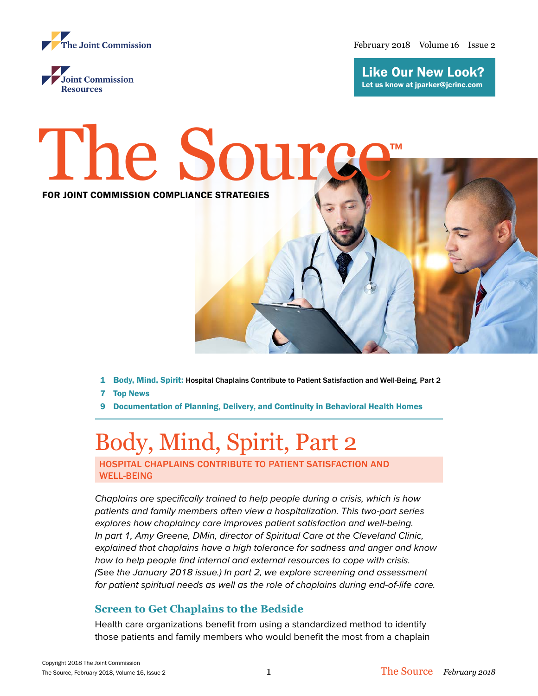

February 2018 Volume 16 Issue 2



Like Our New Look? Let us know at jparker[@jcrinc.com](mailto:jparker%40jcrinc.com?subject=)



- 1 Body, Mind, Spirit: Hospital Chaplains Contribute to Patient Satisfaction and Well-Being, Part 2
- 7 Top News
- 9 Documentation of Planning, Delivery, and Continuity in Behavioral Health Homes

# Body, Mind, Spirit, Part 2

HOSPITAL CHAPLAINS CONTRIBUTE TO PATIENT SATISFACTION AND WELL-BEING

*Chaplains are specifically trained to help people during a crisis, which is how patients and family members often view a hospitalization. This two-part series explores how chaplaincy care improves patient satisfaction and well-being. In part 1, Amy Greene, DMin, director of Spiritual Care at the Cleveland Clinic, explained that chaplains have a high tolerance for sadness and anger and know how to help people find internal and external resources to cope with crisis. (*See *the January 2018 issue.) In part 2, we explore screening and assessment for patient spiritual needs as well as the role of chaplains during end-of-life care.*

## **Screen to Get Chaplains to the Bedside**

Health care organizations benefit from using a standardized method to identify those patients and family members who would benefit the most from a chaplain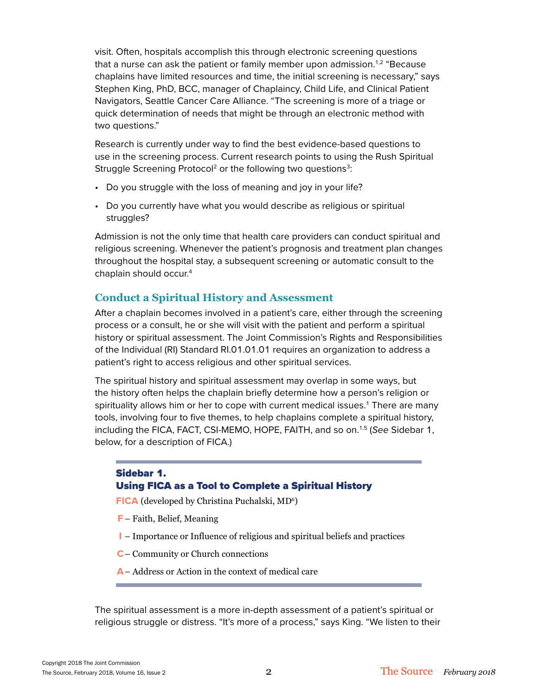visit. Often, hospitals accomplish this through electronic screening questions that a nurse can ask the patient or family member upon admission.<sup>1,2</sup> "Because chaplains have limited resources and time, the initial screening is necessary," says Stephen King, PhD, BCC, manager of Chaplaincy, Child Life, and Clinical Patient Navigators, Seattle Cancer Care Alliance. "The screening is more of a triage or quick determination of needs that might be through an electronic method with two questions."

Research is currently under way to find the best evidence-based questions to use in the screening process. Current research points to using the Rush Spiritual Struggle Screening Protocol<sup>2</sup> or the following two questions<sup>3</sup>:

- Do you struggle with the loss of meaning and joy in your life?
- Do you currently have what you would describe as religious or spiritual struggles?

Admission is not the only time that health care providers can conduct spiritual and religious screening. Whenever the patient's prognosis and treatment plan changes throughout the hospital stay, a subsequent screening or automatic consult to the chaplain should occur.4

## **Conduct a Spiritual History and Assessment**

After a chaplain becomes involved in a patient's care, either through the screening process or a consult, he or she will visit with the patient and perform a spiritual history or spiritual assessment. The Joint Commission's Rights and Responsibilities of the Individual (RI) Standard RI.01.01.01 requires an organization to address a patient's right to access religious and other spiritual services.

The spiritual history and spiritual assessment may overlap in some ways, but the history often helps the chaplain briefly determine how a person's religion or spirituality allows him or her to cope with current medical issues.<sup>1</sup> There are many tools, involving four to five themes, to help chaplains complete a spiritual history, including the FICA, FACT, CSI-MEMO, HOPE, FAITH, and so on.1,5 (*See* Sidebar 1, below, for a description of FICA.)

## Sidebar 1. Using FICA as a Tool to Complete a Spiritual History

FICA (developed by Christina Puchalski, MD<sup>6</sup>)

- **F** Faith, Belief, Meaning
- **I** Importance or Influence of religious and spiritual beliefs and practices
- **C** Community or Church connections
- **A** Address or Action in the context of medical care

The spiritual assessment is a more in-depth assessment of a patient's spiritual or religious struggle or distress. "It's more of a process," says King. "We listen to their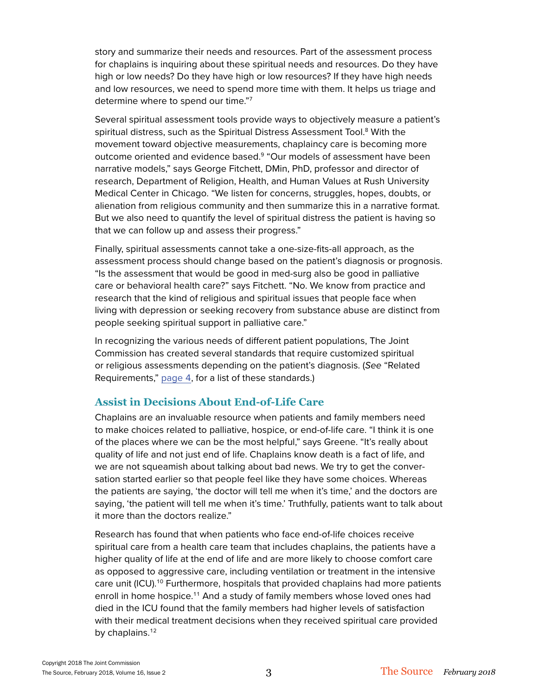story and summarize their needs and resources. Part of the assessment process for chaplains is inquiring about these spiritual needs and resources. Do they have high or low needs? Do they have high or low resources? If they have high needs and low resources, we need to spend more time with them. It helps us triage and determine where to spend our time."7

Several spiritual assessment tools provide ways to objectively measure a patient's spiritual distress, such as the Spiritual Distress Assessment Tool.<sup>8</sup> With the movement toward objective measurements, chaplaincy care is becoming more outcome oriented and evidence based.9 "Our models of assessment have been narrative models," says George Fitchett, DMin, PhD, professor and director of research, Department of Religion, Health, and Human Values at Rush University Medical Center in Chicago. "We listen for concerns, struggles, hopes, doubts, or alienation from religious community and then summarize this in a narrative format. But we also need to quantify the level of spiritual distress the patient is having so that we can follow up and assess their progress."

Finally, spiritual assessments cannot take a one-size-fits-all approach, as the assessment process should change based on the patient's diagnosis or prognosis. "Is the assessment that would be good in med-surg also be good in palliative care or behavioral health care?" says Fitchett. "No. We know from practice and research that the kind of religious and spiritual issues that people face when living with depression or seeking recovery from substance abuse are distinct from people seeking spiritual support in palliative care."

In recognizing the various needs of different patient populations, The Joint Commission has created several standards that require customized spiritual or religious assessments depending on the patient's diagnosis. (*See* "Related Requirements," page 4, for a list of these standards.)

## **Assist in Decisions About End-of-Life Care**

Chaplains are an invaluable resource when patients and family members need to make choices related to palliative, hospice, or end-of-life care. "I think it is one of the places where we can be the most helpful," says Greene. "It's really about quality of life and not just end of life. Chaplains know death is a fact of life, and we are not squeamish about talking about bad news. We try to get the conversation started earlier so that people feel like they have some choices. Whereas the patients are saying, 'the doctor will tell me when it's time,' and the doctors are saying, 'the patient will tell me when it's time.' Truthfully, patients want to talk about it more than the doctors realize."

Research has found that when patients who face end-of-life choices receive spiritual care from a health care team that includes chaplains, the patients have a higher quality of life at the end of life and are more likely to choose comfort care as opposed to aggressive care, including ventilation or treatment in the intensive care unit (ICU).<sup>10</sup> Furthermore, hospitals that provided chaplains had more patients enroll in home hospice.<sup>11</sup> And a study of family members whose loved ones had died in the ICU found that the family members had higher levels of satisfaction with their medical treatment decisions when they received spiritual care provided by chaplains.<sup>12</sup>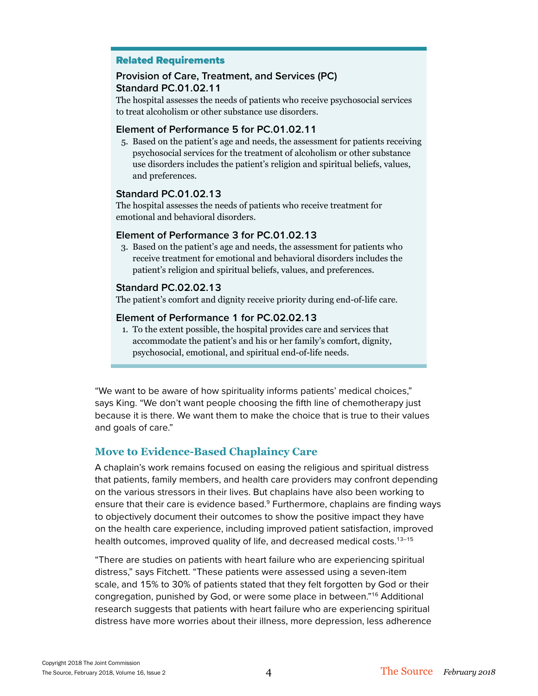### Related Requirements

## **Provision of Care, Treatment, and Services (PC) Standard PC.01.02.11**

The hospital assesses the needs of patients who receive psychosocial services to treat alcoholism or other substance use disorders.

#### **Element of Performance 5 for PC.01.02.11**

5. Based on the patient's age and needs, the assessment for patients receiving psychosocial services for the treatment of alcoholism or other substance use disorders includes the patient's religion and spiritual beliefs, values, and preferences.

### **Standard PC.01.02.13**

The hospital assesses the needs of patients who receive treatment for emotional and behavioral disorders.

#### **Element of Performance 3 for PC.01.02.13**

3. Based on the patient's age and needs, the assessment for patients who receive treatment for emotional and behavioral disorders includes the patient's religion and spiritual beliefs, values, and preferences.

#### **Standard PC.02.02.13**

The patient's comfort and dignity receive priority during end-of-life care.

#### **Element of Performance 1 for PC.02.02.13**

1. To the extent possible, the hospital provides care and services that accommodate the patient's and his or her family's comfort, dignity, psychosocial, emotional, and spiritual end-of-life needs.

"We want to be aware of how spirituality informs patients' medical choices," says King. "We don't want people choosing the fifth line of chemotherapy just because it is there. We want them to make the choice that is true to their values and goals of care."

## **Move to Evidence-Based Chaplaincy Care**

A chaplain's work remains focused on easing the religious and spiritual distress that patients, family members, and health care providers may confront depending on the various stressors in their lives. But chaplains have also been working to ensure that their care is evidence based.<sup>9</sup> Furthermore, chaplains are finding ways to objectively document their outcomes to show the positive impact they have on the health care experience, including improved patient satisfaction, improved health outcomes, improved quality of life, and decreased medical costs.<sup>13-15</sup>

"There are studies on patients with heart failure who are experiencing spiritual distress," says Fitchett. "These patients were assessed using a seven-item scale, and 15% to 30% of patients stated that they felt forgotten by God or their congregation, punished by God, or were some place in between."16 Additional research suggests that patients with heart failure who are experiencing spiritual distress have more worries about their illness, more depression, less adherence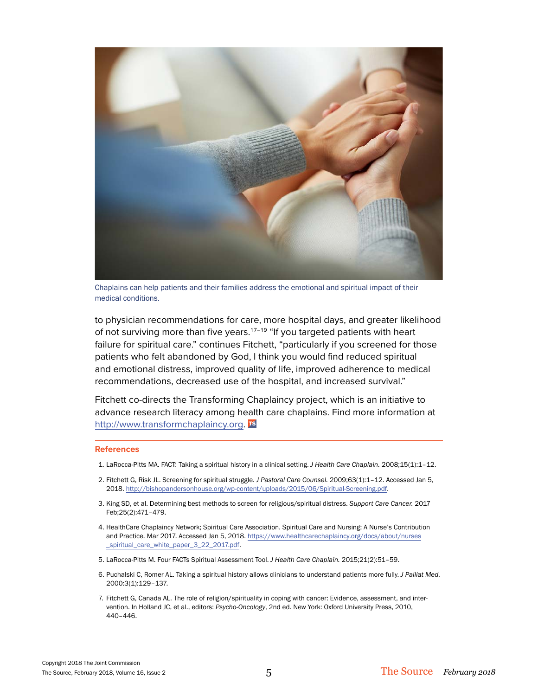

Chaplains can help patients and their families address the emotional and spiritual impact of their medical conditions.

to physician recommendations for care, more hospital days, and greater likelihood of not surviving more than five years.<sup>17-19</sup> "If you targeted patients with heart failure for spiritual care." continues Fitchett, "particularly if you screened for those patients who felt abandoned by God, I think you would find reduced spiritual and emotional distress, improved quality of life, improved adherence to medical recommendations, decreased use of the hospital, and increased survival."

Fitchett co-directs the Transforming Chaplaincy project, which is an initiative to advance research literacy among health care chaplains. Find more information at <http://www.transformchaplaincy.org>. TS

#### **References**

- 1. LaRocca-Pitts MA. FACT: Taking a spiritual history in a clinical setting. *J Health Care Chaplain.* 2008;15(1):1–12.
- 2. Fitchett G, Risk JL. Screening for spiritual struggle. *J Pastoral Care Counsel.* 2009;63(1):1–12. Accessed Jan 5, 2018. [http://bishopandersonhouse.org/wp-content/uploads/2015/06/Spiritual-Screening.pdf.](http://bishopandersonhouse.org/wp-content/uploads/2015/06/Spiritual-Screening.pdf)
- 3. King SD, et al. Determining best methods to screen for religious/spiritual distress. *Support Care Cancer.* 2017 Feb;25(2):471–479.
- 4. HealthCare Chaplaincy Network; Spiritual Care Association. Spiritual Care and Nursing: A Nurse's Contribution and Practice. Mar 2017. Accessed Jan 5, 2018. [https://www.healthcarechaplaincy.org/docs/about/nurses](https://www.healthcarechaplaincy.org/docs/about/nurses_spiritual_care_white_paper_3_22_2017.pdf)  [\\_spiritual\\_care\\_white\\_paper\\_3\\_22\\_2017.pdf.](https://www.healthcarechaplaincy.org/docs/about/nurses_spiritual_care_white_paper_3_22_2017.pdf)
- 5. LaRocca-Pitts M. Four FACTs Spiritual Assessment Tool. *J Health Care Chaplain.* 2015;21(2):51–59.
- 6. Puchalski C, Romer AL. Taking a spiritual history allows clinicians to understand patients more fully. *J Palliat Med.* 2000:3(1):129–137.
- 7. Fitchett G, Canada AL. The role of religion/spirituality in coping with cancer: Evidence, assessment, and intervention. In Holland JC, et al., editors: *Psycho-Oncology*, 2nd ed. New York: Oxford University Press, 2010, 440–446.